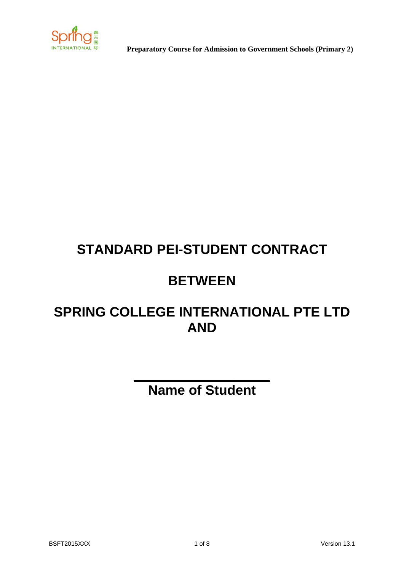

 **Preparatory Course for Admission to Government Schools (Primary 2)**

# **STANDARD PEI-STUDENT CONTRACT**

## **BETWEEN**

## **SPRING COLLEGE INTERNATIONAL PTE LTD AND**

# **Name of Student**

**\_\_\_\_\_\_\_\_\_\_\_\_\_\_\_\_\_\_**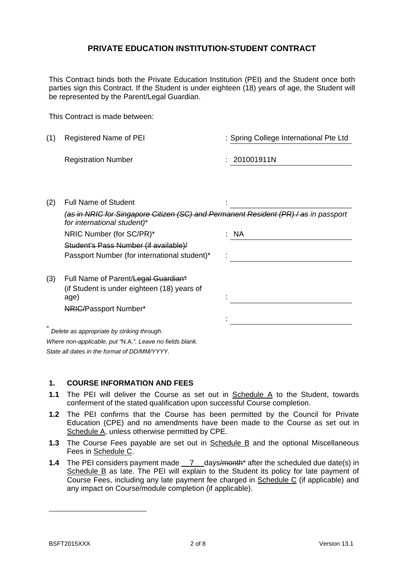#### **PRIVATE EDUCATION INSTITUTION-STUDENT CONTRACT**

This Contract binds both the Private Education Institution (PEI) and the Student once both parties sign this Contract. If the Student is under eighteen (18) years of age, the Student will be represented by the Parent/Legal Guardian.

This Contract is made between:

(1) Registered Name of PEI : Spring College International Pte Ltd

Registration Number : 201001911N

(2) Full Name of Student : the student :

|     | ( <del>as in NRIC for Singapore Citizen (SC) and Permanent Resident (PR) / as</del> in passport<br>for international student)* |           |
|-----|--------------------------------------------------------------------------------------------------------------------------------|-----------|
|     | NRIC Number (for SC/PR)*                                                                                                       | <b>NA</b> |
|     | Student's Pass Number (if available)/                                                                                          |           |
|     | Passport Number (for international student)*                                                                                   |           |
|     |                                                                                                                                |           |
| (3) | Full Name of Parent/Legal Guardian*                                                                                            |           |
|     | (if Student is under eighteen (18) years of                                                                                    |           |
|     | age)                                                                                                                           |           |
|     | <b>NRIC/Passport Number*</b>                                                                                                   |           |
|     |                                                                                                                                |           |

\* *Delete as appropriate by striking through. Where non-applicable, put "*N.A.*". Leave no fields blank. State all dates in the format of DD/MM/YYYY.* 

#### **1. COURSE INFORMATION AND FEES**

- **1.1** The PEI will deliver the Course as set out in Schedule A to the Student, towards conferment of the stated qualification upon successful Course completion.
- **1.2** The PEI confirms that the Course has been permitted by the Council for Private Education (CPE) and no amendments have been made to the Course as set out in Schedule A, unless otherwise permitted by CPE.
- **1.3** The Course Fees payable are set out in Schedule B and the optional Miscellaneous Fees in Schedule C.
- **1.4** The PEI considers payment made 7 days/month\* after the scheduled due date(s) in Schedule B as late. The PEI will explain to the Student its policy for late payment of Course Fees, including any late payment fee charged in Schedule C (if applicable) and any impact on Course/module completion (if applicable).

1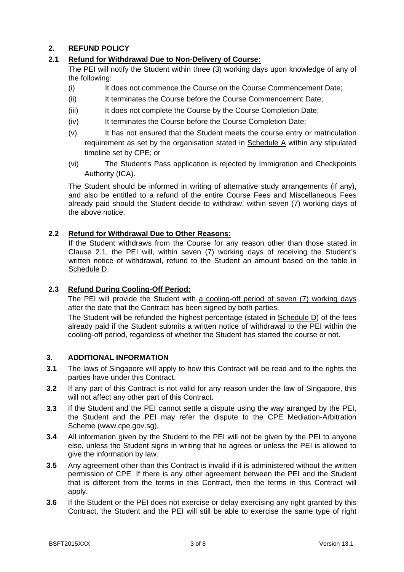#### **2. REFUND POLICY**

#### **2.1 Refund for Withdrawal Due to Non-Delivery of Course:**

The PEI will notify the Student within three (3) working days upon knowledge of any of the following:

- (i) It does not commence the Course on the Course Commencement Date;
- (ii) It terminates the Course before the Course Commencement Date;
- (iii) It does not complete the Course by the Course Completion Date;
- (iv) It terminates the Course before the Course Completion Date;
- (v) It has not ensured that the Student meets the course entry or matriculation requirement as set by the organisation stated in Schedule A within any stipulated timeline set by CPE; or
- (vi) The Student's Pass application is rejected by Immigration and Checkpoints Authority (ICA).

The Student should be informed in writing of alternative study arrangements (if any), and also be entitled to a refund of the entire Course Fees and Miscellaneous Fees already paid should the Student decide to withdraw, within seven (7) working days of the above notice.

#### **2.2 Refund for Withdrawal Due to Other Reasons:**

If the Student withdraws from the Course for any reason other than those stated in Clause 2.1, the PEI will, within seven (7) working days of receiving the Student's written notice of withdrawal, refund to the Student an amount based on the table in Schedule D.

#### **2.3 Refund During Cooling-Off Period:**

The PEI will provide the Student with a cooling-off period of seven (7) working days after the date that the Contract has been signed by both parties.

The Student will be refunded the highest percentage (stated in Schedule D) of the fees already paid if the Student submits a written notice of withdrawal to the PEI within the cooling-off period, regardless of whether the Student has started the course or not.

#### **3. ADDITIONAL INFORMATION**

- **3.1** The laws of Singapore will apply to how this Contract will be read and to the rights the parties have under this Contract.
- **3.2** If any part of this Contract is not valid for any reason under the law of Singapore, this will not affect any other part of this Contract.
- **3.3** If the Student and the PEI cannot settle a dispute using the way arranged by the PEI, the Student and the PEI may refer the dispute to the CPE Mediation-Arbitration Scheme (www.cpe.gov.sg).
- **3.4** All information given by the Student to the PEI will not be given by the PEI to anyone else, unless the Student signs in writing that he agrees or unless the PEI is allowed to give the information by law.
- **3.5** Any agreement other than this Contract is invalid if it is administered without the written permission of CPE. If there is any other agreement between the PEI and the Student that is different from the terms in this Contract, then the terms in this Contract will apply.
- **3.6** If the Student or the PEI does not exercise or delay exercising any right granted by this Contract, the Student and the PEI will still be able to exercise the same type of right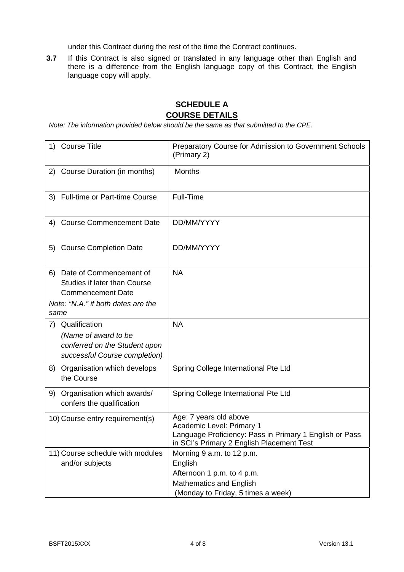under this Contract during the rest of the time the Contract continues.

**3.7** If this Contract is also signed or translated in any language other than English and there is a difference from the English language copy of this Contract, the English language copy will apply.

## **SCHEDULE A COURSE DETAILS**

*Note: The information provided below should be the same as that submitted to the CPE.* 

| 1)   | <b>Course Title</b>                                                                                                              | Preparatory Course for Admission to Government Schools<br>(Primary 2)                                                                                       |
|------|----------------------------------------------------------------------------------------------------------------------------------|-------------------------------------------------------------------------------------------------------------------------------------------------------------|
|      | 2) Course Duration (in months)                                                                                                   | <b>Months</b>                                                                                                                                               |
|      | 3) Full-time or Part-time Course                                                                                                 | Full-Time                                                                                                                                                   |
|      | 4) Course Commencement Date                                                                                                      | DD/MM/YYYY                                                                                                                                                  |
|      | 5) Course Completion Date                                                                                                        | DD/MM/YYYY                                                                                                                                                  |
| 6)   | Date of Commencement of<br><b>Studies if later than Course</b><br><b>Commencement Date</b><br>Note: "N.A." if both dates are the | <b>NA</b>                                                                                                                                                   |
| same |                                                                                                                                  |                                                                                                                                                             |
|      | 7) Qualification<br>(Name of award to be<br>conferred on the Student upon<br>successful Course completion)                       | <b>NA</b>                                                                                                                                                   |
| 8)   | Organisation which develops<br>the Course                                                                                        | Spring College International Pte Ltd                                                                                                                        |
| 9)   | Organisation which awards/<br>confers the qualification                                                                          | Spring College International Pte Ltd                                                                                                                        |
|      | 10) Course entry requirement(s)                                                                                                  | Age: 7 years old above<br>Academic Level: Primary 1<br>Language Proficiency: Pass in Primary 1 English or Pass<br>in SCI's Primary 2 English Placement Test |
|      | 11) Course schedule with modules<br>and/or subjects                                                                              | Morning 9 a.m. to 12 p.m.<br>English<br>Afternoon 1 p.m. to 4 p.m.<br><b>Mathematics and English</b><br>(Monday to Friday, 5 times a week)                  |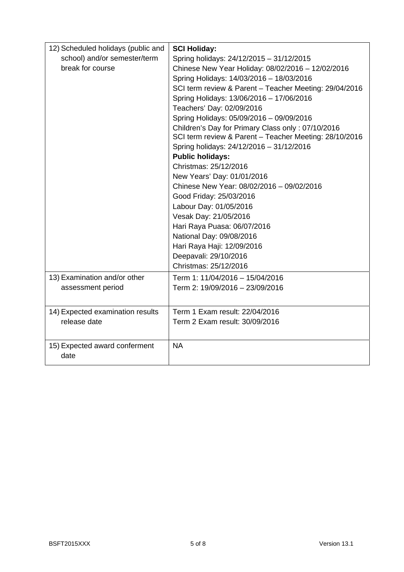| 12) Scheduled holidays (public and | <b>SCI Holiday:</b>                                    |
|------------------------------------|--------------------------------------------------------|
| school) and/or semester/term       | Spring holidays: 24/12/2015 - 31/12/2015               |
| break for course                   | Chinese New Year Holiday: 08/02/2016 - 12/02/2016      |
|                                    | Spring Holidays: 14/03/2016 - 18/03/2016               |
|                                    | SCI term review & Parent - Teacher Meeting: 29/04/2016 |
|                                    | Spring Holidays: 13/06/2016 - 17/06/2016               |
|                                    | Teachers' Day: 02/09/2016                              |
|                                    | Spring Holidays: 05/09/2016 - 09/09/2016               |
|                                    | Children's Day for Primary Class only: 07/10/2016      |
|                                    | SCI term review & Parent - Teacher Meeting: 28/10/2016 |
|                                    | Spring holidays: 24/12/2016 - 31/12/2016               |
|                                    | <b>Public holidays:</b>                                |
|                                    | Christmas: 25/12/2016                                  |
|                                    | New Years' Day: 01/01/2016                             |
|                                    | Chinese New Year: 08/02/2016 - 09/02/2016              |
|                                    | Good Friday: 25/03/2016                                |
|                                    | Labour Day: 01/05/2016                                 |
|                                    | Vesak Day: 21/05/2016                                  |
|                                    | Hari Raya Puasa: 06/07/2016                            |
|                                    | National Day: 09/08/2016                               |
|                                    | Hari Raya Haji: 12/09/2016                             |
|                                    | Deepavali: 29/10/2016                                  |
|                                    | Christmas: 25/12/2016                                  |
| 13) Examination and/or other       | Term 1: 11/04/2016 - 15/04/2016                        |
| assessment period                  | Term 2: 19/09/2016 - 23/09/2016                        |
|                                    |                                                        |
| 14) Expected examination results   | Term 1 Exam result: 22/04/2016                         |
| release date                       | Term 2 Exam result: 30/09/2016                         |
|                                    |                                                        |
| 15) Expected award conferment      | <b>NA</b>                                              |
| date                               |                                                        |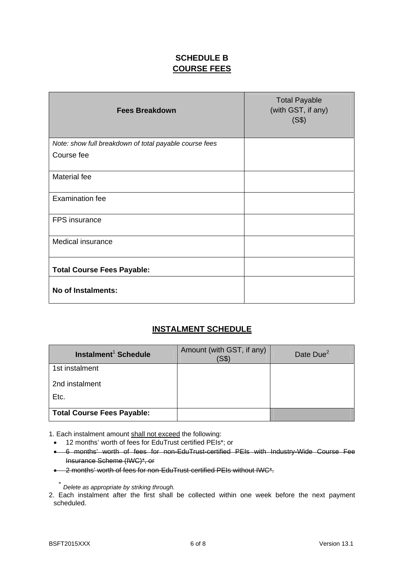## **SCHEDULE B COURSE FEES**

| <b>Fees Breakdown</b>                                  | <b>Total Payable</b><br>(with GST, if any)<br>(S\$) |
|--------------------------------------------------------|-----------------------------------------------------|
| Note: show full breakdown of total payable course fees |                                                     |
| Course fee                                             |                                                     |
| Material fee                                           |                                                     |
| <b>Examination fee</b>                                 |                                                     |
| FPS insurance                                          |                                                     |
| Medical insurance                                      |                                                     |
| <b>Total Course Fees Payable:</b>                      |                                                     |
| No of Instalments:                                     |                                                     |

### **INSTALMENT SCHEDULE**

| Instalment <sup>1</sup> Schedule  | Amount (with GST, if any)<br>(SS) | Date Due <sup>2</sup> |
|-----------------------------------|-----------------------------------|-----------------------|
| 1st instalment                    |                                   |                       |
| 2nd instalment                    |                                   |                       |
| Etc.                              |                                   |                       |
| <b>Total Course Fees Payable:</b> |                                   |                       |

1. Each instalment amount shall not exceed the following:

12 months' worth of fees for EduTrust certified PEIs\*; or

 6 months' worth of fees for non-EduTrust-certified PEIs with Industry-Wide Course Fee Insurance Scheme (IWC)\*, or

2 months' worth of fees for non-EduTrust-certified PEIs without IWC\*.

\* *Delete as appropriate by striking through.*

<sup>2.</sup> Each instalment after the first shall be collected within one week before the next payment scheduled.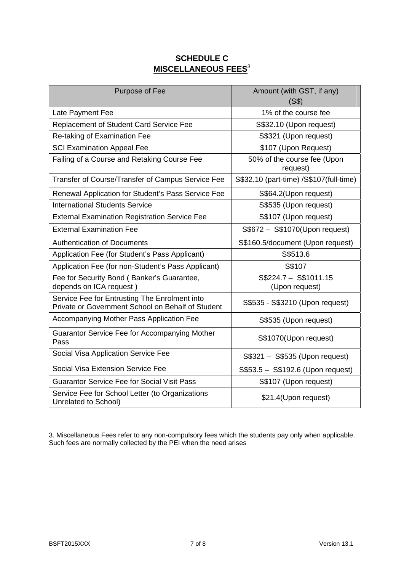## **SCHEDULE C MISCELLANEOUS FEES**<sup>3</sup>

| Purpose of Fee                                                                                     | Amount (with GST, if any)<br>(S\$)        |
|----------------------------------------------------------------------------------------------------|-------------------------------------------|
| Late Payment Fee                                                                                   | 1% of the course fee                      |
| <b>Replacement of Student Card Service Fee</b>                                                     | S\$32.10 (Upon request)                   |
| Re-taking of Examination Fee                                                                       | S\$321 (Upon request)                     |
| <b>SCI Examination Appeal Fee</b>                                                                  | \$107 (Upon Request)                      |
| Failing of a Course and Retaking Course Fee                                                        | 50% of the course fee (Upon<br>request)   |
| Transfer of Course/Transfer of Campus Service Fee                                                  | S\$32.10 (part-time) / S\$107 (full-time) |
| Renewal Application for Student's Pass Service Fee                                                 | S\$64.2(Upon request)                     |
| <b>International Students Service</b>                                                              | S\$535 (Upon request)                     |
| <b>External Examination Registration Service Fee</b>                                               | S\$107 (Upon request)                     |
| <b>External Examination Fee</b>                                                                    | S\$672 - S\$1070(Upon request)            |
| <b>Authentication of Documents</b>                                                                 | S\$160.5/document (Upon request)          |
| Application Fee (for Student's Pass Applicant)                                                     | S\$513.6                                  |
| Application Fee (for non-Student's Pass Applicant)                                                 | S\$107                                    |
| Fee for Security Bond (Banker's Guarantee,<br>depends on ICA request)                              | $S$224.7 - S$1011.15$<br>(Upon request)   |
| Service Fee for Entrusting The Enrolment into<br>Private or Government School on Behalf of Student | S\$535 - S\$3210 (Upon request)           |
| Accompanying Mother Pass Application Fee                                                           | S\$535 (Upon request)                     |
| Guarantor Service Fee for Accompanying Mother<br>Pass                                              | S\$1070(Upon request)                     |
| Social Visa Application Service Fee                                                                | S\$321 - S\$535 (Upon request)            |
| Social Visa Extension Service Fee                                                                  | S\$53.5 - S\$192.6 (Upon request)         |
| <b>Guarantor Service Fee for Social Visit Pass</b>                                                 | S\$107 (Upon request)                     |
| Service Fee for School Letter (to Organizations<br>Unrelated to School)                            | \$21.4(Upon request)                      |

3. Miscellaneous Fees refer to any non-compulsory fees which the students pay only when applicable. Such fees are normally collected by the PEI when the need arises